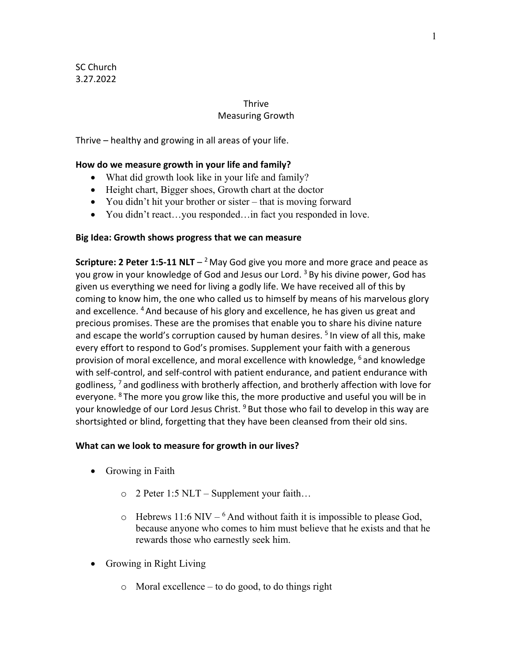#### Thrive Measuring Growth

Thrive – healthy and growing in all areas of your life.

### **How do we measure growth in your life and family?**

- What did growth look like in your life and family?
- Height chart, Bigger shoes, Growth chart at the doctor
- You didn't hit your brother or sister that is moving forward
- You didn't react...you responded... in fact you responded in love.

### **Big Idea: Growth shows progress that we can measure**

**Scripture: 2 Peter 1:5-11 NLT**  $-$ <sup>2</sup> May God give you more and more grace and peace as you grow in your knowledge of God and Jesus our Lord.<sup>3</sup> By his divine power, God has given us everything we need for living a godly life. We have received all of this by coming to know him, the one who called us to himself by means of his marvelous glory and excellence. 4 And because of his glory and excellence, he has given us great and precious promises. These are the promises that enable you to share his divine nature and escape the world's corruption caused by human desires.<sup>5</sup> In view of all this, make every effort to respond to God's promises. Supplement your faith with a generous provision of moral excellence, and moral excellence with knowledge, <sup>6</sup> and knowledge with self-control, and self-control with patient endurance, and patient endurance with godliness,  $<sup>7</sup>$  and godliness with brotherly affection, and brotherly affection with love for</sup> everyone. <sup>8</sup> The more you grow like this, the more productive and useful you will be in your knowledge of our Lord Jesus Christ. <sup>9</sup> But those who fail to develop in this way are shortsighted or blind, forgetting that they have been cleansed from their old sins.

### **What can we look to measure for growth in our lives?**

- Growing in Faith
	- o 2 Peter 1:5 NLT Supplement your faith…
	- $\circ$  Hebrews 11:6 NIV <sup>6</sup> And without faith it is impossible to please God, because anyone who comes to him must believe that he exists and that he rewards those who earnestly seek him.
- Growing in Right Living
	- o Moral excellence to do good, to do things right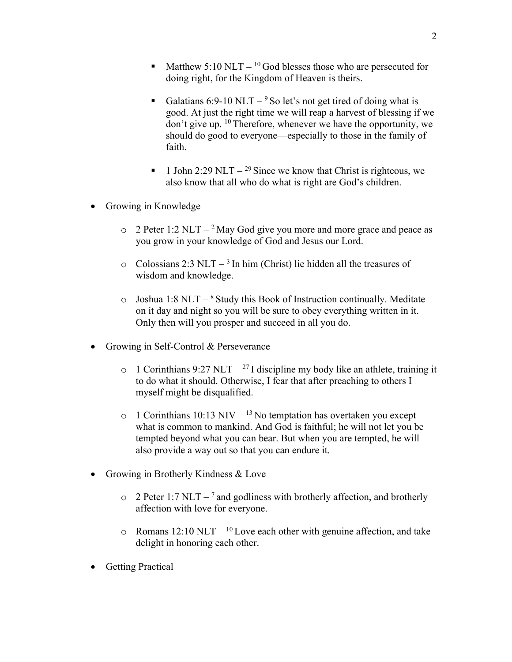- Matthew 5:10 NLT <sup>10</sup> God blesses those who are persecuted for doing right, for the Kingdom of Heaven is theirs.
- Galatians 6:9-10 NLT <sup>9</sup> So let's not get tired of doing what is good. At just the right time we will reap a harvest of blessing if we don't give up. 10 Therefore, whenever we have the opportunity, we should do good to everyone—especially to those in the family of faith.
- 1 John 2:29 NLT <sup>29</sup> Since we know that Christ is righteous, we also know that all who do what is right are God's children.
- Growing in Knowledge
	- $\degree$  2 Peter 1:2 NLT <sup>2</sup> May God give you more and more grace and peace as you grow in your knowledge of God and Jesus our Lord.
	- $\circ$  Colossians 2:3 NLT <sup>3</sup> In him (Christ) lie hidden all the treasures of wisdom and knowledge.
	- $\circ$  Joshua 1:8 NLT <sup>8</sup> Study this Book of Instruction continually. Meditate on it day and night so you will be sure to obey everything written in it. Only then will you prosper and succeed in all you do.
- Growing in Self-Control & Perseverance
	- $\circ$  1 Corinthians 9:27 NLT <sup>27</sup> I discipline my body like an athlete, training it to do what it should. Otherwise, I fear that after preaching to others I myself might be disqualified.
	- $\circ$  1 Corinthians 10:13 NIV <sup>13</sup> No temptation has overtaken you except what is common to mankind. And God is faithful; he will not let you be tempted beyond what you can bear. But when you are tempted, he will also provide a way out so that you can endure it.
- Growing in Brotherly Kindness & Love
	- o 2 Peter 1:7 NLT **–** <sup>7</sup> and godliness with brotherly affection, and brotherly affection with love for everyone.
	- $\circ$  Romans 12:10 NLT <sup>10</sup> Love each other with genuine affection, and take delight in honoring each other.
- Getting Practical